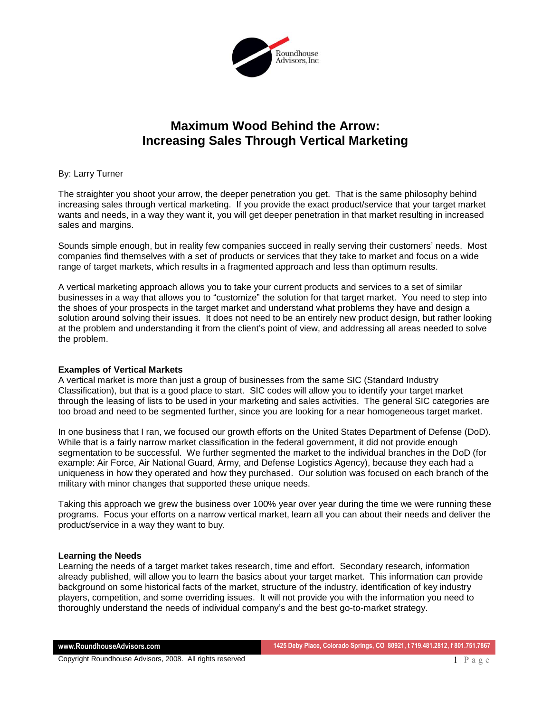

# **Maximum Wood Behind the Arrow: Increasing Sales Through Vertical Marketing**

## By: Larry Turner

The straighter you shoot your arrow, the deeper penetration you get. That is the same philosophy behind increasing sales through vertical marketing. If you provide the exact product/service that your target market wants and needs, in a way they want it, you will get deeper penetration in that market resulting in increased sales and margins.

Sounds simple enough, but in reality few companies succeed in really serving their customers' needs. Most companies find themselves with a set of products or services that they take to market and focus on a wide range of target markets, which results in a fragmented approach and less than optimum results.

A vertical marketing approach allows you to take your current products and services to a set of similar businesses in a way that allows you to "customize" the solution for that target market. You need to step into the shoes of your prospects in the target market and understand what problems they have and design a solution around solving their issues. It does not need to be an entirely new product design, but rather looking at the problem and understanding it from the client's point of view, and addressing all areas needed to solve the problem.

#### **Examples of Vertical Markets**

A vertical market is more than just a group of businesses from the same SIC (Standard Industry Classification), but that is a good place to start. SIC codes will allow you to identify your target market through the leasing of lists to be used in your marketing and sales activities. The general SIC categories are too broad and need to be segmented further, since you are looking for a near homogeneous target market.

In one business that I ran, we focused our growth efforts on the United States Department of Defense (DoD). While that is a fairly narrow market classification in the federal government, it did not provide enough segmentation to be successful. We further segmented the market to the individual branches in the DoD (for example: Air Force, Air National Guard, Army, and Defense Logistics Agency), because they each had a uniqueness in how they operated and how they purchased. Our solution was focused on each branch of the military with minor changes that supported these unique needs.

Taking this approach we grew the business over 100% year over year during the time we were running these programs. Focus your efforts on a narrow vertical market, learn all you can about their needs and deliver the product/service in a way they want to buy.

#### **Learning the Needs**

Learning the needs of a target market takes research, time and effort. Secondary research, information already published, will allow you to learn the basics about your target market. This information can provide background on some historical facts of the market, structure of the industry, identification of key industry players, competition, and some overriding issues. It will not provide you with the information you need to thoroughly understand the needs of individual company's and the best go-to-market strategy.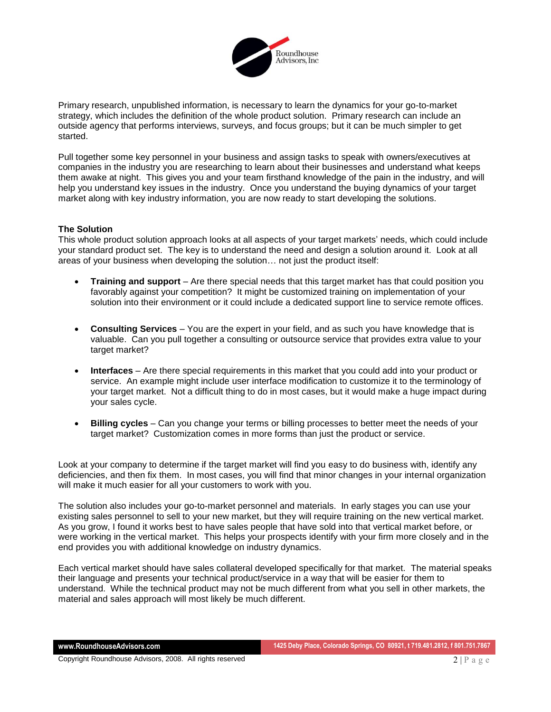

Primary research, unpublished information, is necessary to learn the dynamics for your go-to-market strategy, which includes the definition of the whole product solution. Primary research can include an outside agency that performs interviews, surveys, and focus groups; but it can be much simpler to get started.

Pull together some key personnel in your business and assign tasks to speak with owners/executives at companies in the industry you are researching to learn about their businesses and understand what keeps them awake at night. This gives you and your team firsthand knowledge of the pain in the industry, and will help you understand key issues in the industry. Once you understand the buying dynamics of your target market along with key industry information, you are now ready to start developing the solutions.

## **The Solution**

This whole product solution approach looks at all aspects of your target markets' needs, which could include your standard product set. The key is to understand the need and design a solution around it. Look at all areas of your business when developing the solution… not just the product itself:

- **Training and support** Are there special needs that this target market has that could position you favorably against your competition? It might be customized training on implementation of your solution into their environment or it could include a dedicated support line to service remote offices.
- **Consulting Services**  You are the expert in your field, and as such you have knowledge that is valuable. Can you pull together a consulting or outsource service that provides extra value to your target market?
- **Interfaces**  Are there special requirements in this market that you could add into your product or service. An example might include user interface modification to customize it to the terminology of your target market. Not a difficult thing to do in most cases, but it would make a huge impact during your sales cycle.
- **Billing cycles**  Can you change your terms or billing processes to better meet the needs of your target market? Customization comes in more forms than just the product or service.

Look at your company to determine if the target market will find you easy to do business with, identify any deficiencies, and then fix them. In most cases, you will find that minor changes in your internal organization will make it much easier for all your customers to work with you.

The solution also includes your go-to-market personnel and materials. In early stages you can use your existing sales personnel to sell to your new market, but they will require training on the new vertical market. As you grow, I found it works best to have sales people that have sold into that vertical market before, or were working in the vertical market. This helps your prospects identify with your firm more closely and in the end provides you with additional knowledge on industry dynamics.

Each vertical market should have sales collateral developed specifically for that market. The material speaks their language and presents your technical product/service in a way that will be easier for them to understand. While the technical product may not be much different from what you sell in other markets, the material and sales approach will most likely be much different.